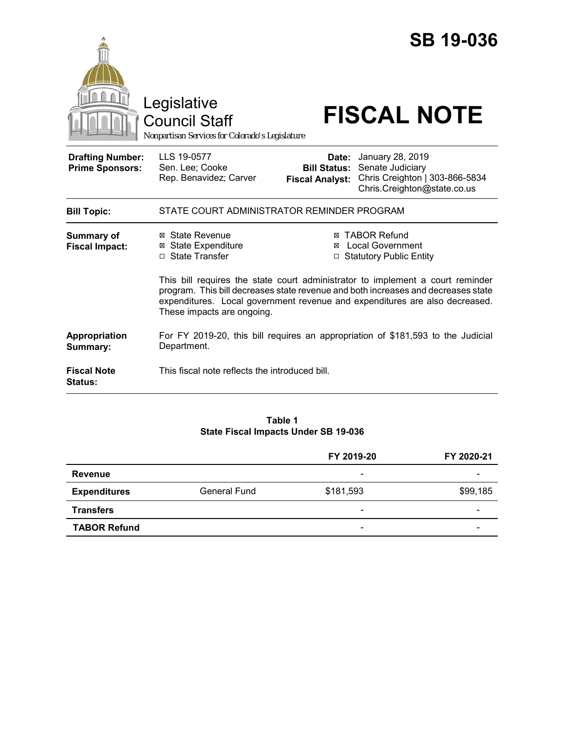|                                                   | Legislative<br><b>Council Staff</b><br>Nonpartisan Services for Colorado's Legislature                                                                                                         |                                                        | <b>SB 19-036</b><br><b>FISCAL NOTE</b>                                                                                                                          |  |
|---------------------------------------------------|------------------------------------------------------------------------------------------------------------------------------------------------------------------------------------------------|--------------------------------------------------------|-----------------------------------------------------------------------------------------------------------------------------------------------------------------|--|
| <b>Drafting Number:</b><br><b>Prime Sponsors:</b> | LLS 19-0577<br>Sen. Lee; Cooke<br>Rep. Benavidez; Carver                                                                                                                                       | Date:<br><b>Bill Status:</b><br><b>Fiscal Analyst:</b> | January 28, 2019<br>Senate Judiciary<br>Chris Creighton   303-866-5834<br>Chris.Creighton@state.co.us                                                           |  |
| <b>Bill Topic:</b>                                | STATE COURT ADMINISTRATOR REMINDER PROGRAM                                                                                                                                                     |                                                        |                                                                                                                                                                 |  |
| <b>Summary of</b><br><b>Fiscal Impact:</b>        | ⊠ State Revenue<br>⊠ State Expenditure<br>□ State Transfer                                                                                                                                     | ⊠                                                      | <b>⊠ TABOR Refund</b><br><b>Local Government</b><br>□ Statutory Public Entity<br>This bill requires the state court administrator to implement a court reminder |  |
|                                                   | program. This bill decreases state revenue and both increases and decreases state<br>expenditures. Local government revenue and expenditures are also decreased.<br>These impacts are ongoing. |                                                        |                                                                                                                                                                 |  |
| Appropriation<br>Summary:                         | For FY 2019-20, this bill requires an appropriation of \$181,593 to the Judicial<br>Department.                                                                                                |                                                        |                                                                                                                                                                 |  |
| <b>Fiscal Note</b><br><b>Status:</b>              | This fiscal note reflects the introduced bill.                                                                                                                                                 |                                                        |                                                                                                                                                                 |  |

## **Table 1 State Fiscal Impacts Under SB 19-036**

|                     |              | FY 2019-20                   | FY 2020-21 |
|---------------------|--------------|------------------------------|------------|
| <b>Revenue</b>      |              | -                            |            |
| <b>Expenditures</b> | General Fund | \$181,593                    | \$99,185   |
| <b>Transfers</b>    |              | -                            |            |
| <b>TABOR Refund</b> |              | $\qquad \qquad \blacksquare$ |            |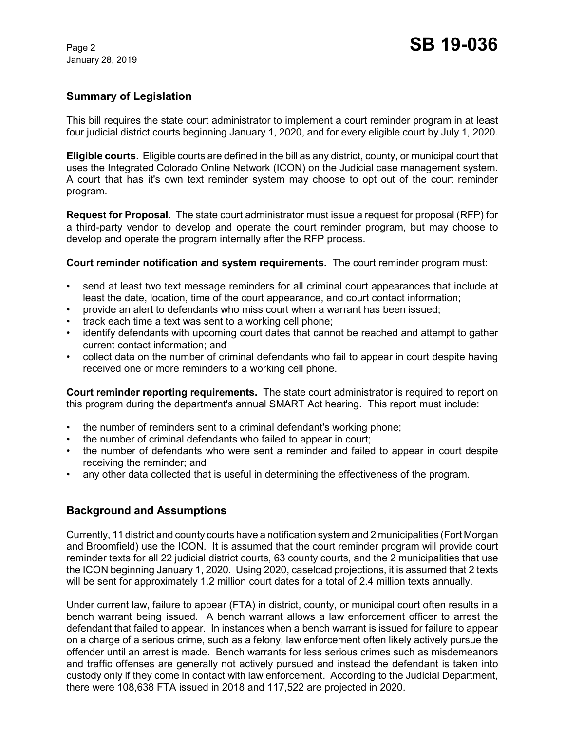# **Summary of Legislation**

This bill requires the state court administrator to implement a court reminder program in at least four judicial district courts beginning January 1, 2020, and for every eligible court by July 1, 2020.

**Eligible courts**. Eligible courts are defined in the bill as any district, county, or municipal court that uses the Integrated Colorado Online Network (ICON) on the Judicial case management system. A court that has it's own text reminder system may choose to opt out of the court reminder program.

**Request for Proposal.** The state court administrator must issue a request for proposal (RFP) for a third-party vendor to develop and operate the court reminder program, but may choose to develop and operate the program internally after the RFP process.

**Court reminder notification and system requirements.** The court reminder program must:

- send at least two text message reminders for all criminal court appearances that include at least the date, location, time of the court appearance, and court contact information;
- provide an alert to defendants who miss court when a warrant has been issued;
- track each time a text was sent to a working cell phone;
- identify defendants with upcoming court dates that cannot be reached and attempt to gather current contact information; and
- collect data on the number of criminal defendants who fail to appear in court despite having received one or more reminders to a working cell phone.

**Court reminder reporting requirements.** The state court administrator is required to report on this program during the department's annual SMART Act hearing. This report must include:

- the number of reminders sent to a criminal defendant's working phone;
- the number of criminal defendants who failed to appear in court;
- the number of defendants who were sent a reminder and failed to appear in court despite receiving the reminder; and
- any other data collected that is useful in determining the effectiveness of the program.

## **Background and Assumptions**

Currently, 11 district and county courts have a notification system and 2 municipalities (Fort Morgan and Broomfield) use the ICON. It is assumed that the court reminder program will provide court reminder texts for all 22 judicial district courts, 63 county courts, and the 2 municipalities that use the ICON beginning January 1, 2020. Using 2020, caseload projections, it is assumed that 2 texts will be sent for approximately 1.2 million court dates for a total of 2.4 million texts annually.

Under current law, failure to appear (FTA) in district, county, or municipal court often results in a bench warrant being issued. A bench warrant allows a law enforcement officer to arrest the defendant that failed to appear. In instances when a bench warrant is issued for failure to appear on a charge of a serious crime, such as a felony, law enforcement often likely actively pursue the offender until an arrest is made. Bench warrants for less serious crimes such as misdemeanors and traffic offenses are generally not actively pursued and instead the defendant is taken into custody only if they come in contact with law enforcement. According to the Judicial Department, there were 108,638 FTA issued in 2018 and 117,522 are projected in 2020.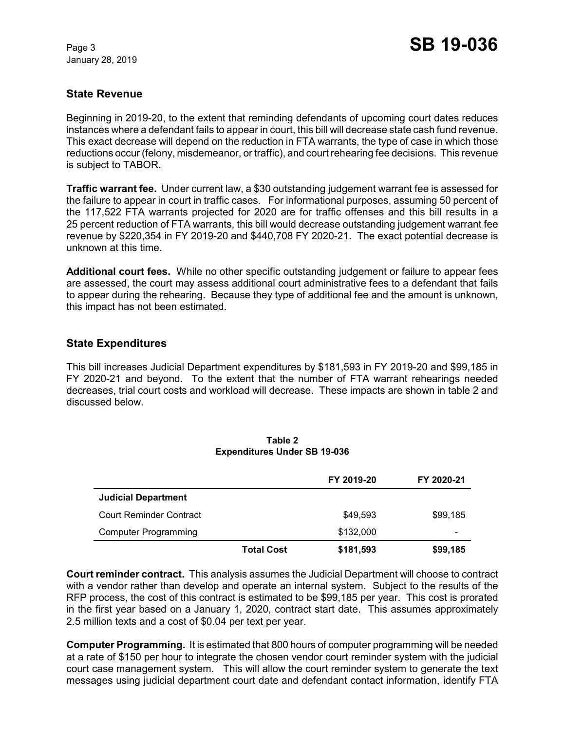## **State Revenue**

Beginning in 2019-20, to the extent that reminding defendants of upcoming court dates reduces instances where a defendant fails to appear in court, this bill will decrease state cash fund revenue. This exact decrease will depend on the reduction in FTA warrants, the type of case in which those reductions occur (felony, misdemeanor, or traffic), and court rehearing fee decisions. This revenue is subject to TABOR.

**Traffic warrant fee.** Under current law, a \$30 outstanding judgement warrant fee is assessed for the failure to appear in court in traffic cases. For informational purposes, assuming 50 percent of the 117,522 FTA warrants projected for 2020 are for traffic offenses and this bill results in a 25 percent reduction of FTA warrants, this bill would decrease outstanding judgement warrant fee revenue by \$220,354 in FY 2019-20 and \$440,708 FY 2020-21. The exact potential decrease is unknown at this time.

**Additional court fees.** While no other specific outstanding judgement or failure to appear fees are assessed, the court may assess additional court administrative fees to a defendant that fails to appear during the rehearing. Because they type of additional fee and the amount is unknown, this impact has not been estimated.

## **State Expenditures**

This bill increases Judicial Department expenditures by \$181,593 in FY 2019-20 and \$99,185 in FY 2020-21 and beyond. To the extent that the number of FTA warrant rehearings needed decreases, trial court costs and workload will decrease. These impacts are shown in table 2 and discussed below.

|                                |                   | FY 2019-20 | FY 2020-21 |
|--------------------------------|-------------------|------------|------------|
| <b>Judicial Department</b>     |                   |            |            |
| <b>Court Reminder Contract</b> |                   | \$49.593   | \$99,185   |
| <b>Computer Programming</b>    |                   | \$132,000  | -          |
|                                | <b>Total Cost</b> | \$181,593  | \$99,185   |

#### **Table 2 Expenditures Under SB 19-036**

**Court reminder contract.** This analysis assumes the Judicial Department will choose to contract with a vendor rather than develop and operate an internal system. Subject to the results of the RFP process, the cost of this contract is estimated to be \$99,185 per year. This cost is prorated in the first year based on a January 1, 2020, contract start date. This assumes approximately 2.5 million texts and a cost of \$0.04 per text per year.

**Computer Programming.** It is estimated that 800 hours of computer programming will be needed at a rate of \$150 per hour to integrate the chosen vendor court reminder system with the judicial court case management system. This will allow the court reminder system to generate the text messages using judicial department court date and defendant contact information, identify FTA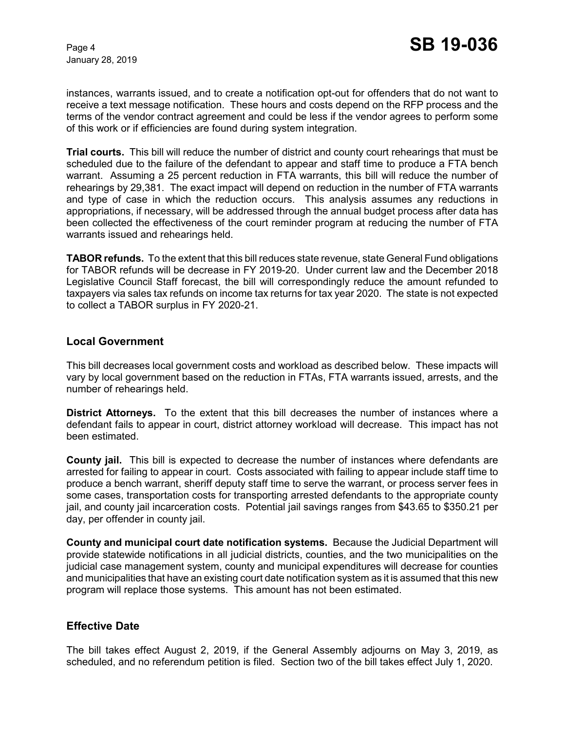instances, warrants issued, and to create a notification opt-out for offenders that do not want to receive a text message notification. These hours and costs depend on the RFP process and the terms of the vendor contract agreement and could be less if the vendor agrees to perform some of this work or if efficiencies are found during system integration.

**Trial courts.** This bill will reduce the number of district and county court rehearings that must be scheduled due to the failure of the defendant to appear and staff time to produce a FTA bench warrant. Assuming a 25 percent reduction in FTA warrants, this bill will reduce the number of rehearings by 29,381. The exact impact will depend on reduction in the number of FTA warrants and type of case in which the reduction occurs. This analysis assumes any reductions in appropriations, if necessary, will be addressed through the annual budget process after data has been collected the effectiveness of the court reminder program at reducing the number of FTA warrants issued and rehearings held.

**TABOR refunds.** To the extent that this bill reduces state revenue, state General Fund obligations for TABOR refunds will be decrease in FY 2019-20. Under current law and the December 2018 Legislative Council Staff forecast, the bill will correspondingly reduce the amount refunded to taxpayers via sales tax refunds on income tax returns for tax year 2020. The state is not expected to collect a TABOR surplus in FY 2020-21.

## **Local Government**

This bill decreases local government costs and workload as described below. These impacts will vary by local government based on the reduction in FTAs, FTA warrants issued, arrests, and the number of rehearings held.

**District Attorneys.** To the extent that this bill decreases the number of instances where a defendant fails to appear in court, district attorney workload will decrease. This impact has not been estimated.

**County jail.** This bill is expected to decrease the number of instances where defendants are arrested for failing to appear in court. Costs associated with failing to appear include staff time to produce a bench warrant, sheriff deputy staff time to serve the warrant, or process server fees in some cases, transportation costs for transporting arrested defendants to the appropriate county jail, and county jail incarceration costs. Potential jail savings ranges from \$43.65 to \$350.21 per day, per offender in county jail.

**County and municipal court date notification systems.** Because the Judicial Department will provide statewide notifications in all judicial districts, counties, and the two municipalities on the judicial case management system, county and municipal expenditures will decrease for counties and municipalities that have an existing court date notification system as it is assumed that this new program will replace those systems. This amount has not been estimated.

## **Effective Date**

The bill takes effect August 2, 2019, if the General Assembly adjourns on May 3, 2019, as scheduled, and no referendum petition is filed. Section two of the bill takes effect July 1, 2020.